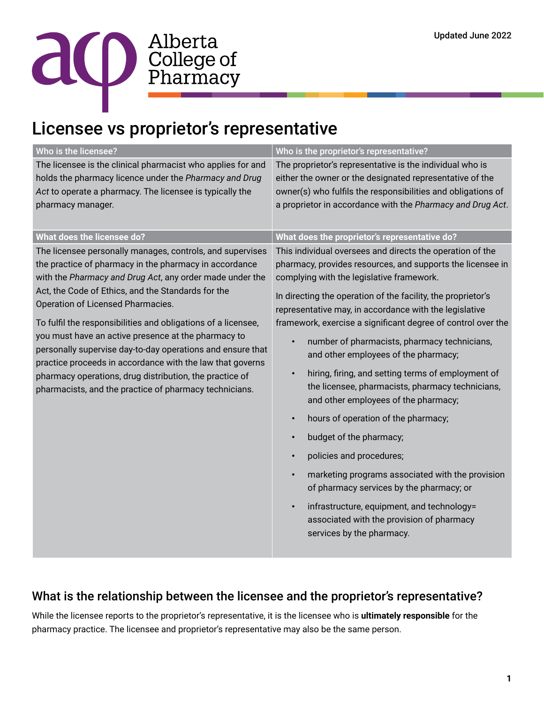

## Licensee vs proprietor's representative

| The licensee is the clinical pharmacist who applies for and                                                                                                                                                                                                                                                                                                                                                                                                                                                                                                                                                                                        | The proprietor's representative is the individual who is                                                                                                                                                                                                                                                                                                                                                                                                                                                                                                                                                                                                                                                                                                                                                                                                                                                                                                                                                     |
|----------------------------------------------------------------------------------------------------------------------------------------------------------------------------------------------------------------------------------------------------------------------------------------------------------------------------------------------------------------------------------------------------------------------------------------------------------------------------------------------------------------------------------------------------------------------------------------------------------------------------------------------------|--------------------------------------------------------------------------------------------------------------------------------------------------------------------------------------------------------------------------------------------------------------------------------------------------------------------------------------------------------------------------------------------------------------------------------------------------------------------------------------------------------------------------------------------------------------------------------------------------------------------------------------------------------------------------------------------------------------------------------------------------------------------------------------------------------------------------------------------------------------------------------------------------------------------------------------------------------------------------------------------------------------|
| holds the pharmacy licence under the Pharmacy and Drug<br>Act to operate a pharmacy. The licensee is typically the<br>pharmacy manager.                                                                                                                                                                                                                                                                                                                                                                                                                                                                                                            | either the owner or the designated representative of the<br>owner(s) who fulfils the responsibilities and obligations of<br>a proprietor in accordance with the Pharmacy and Drug Act.                                                                                                                                                                                                                                                                                                                                                                                                                                                                                                                                                                                                                                                                                                                                                                                                                       |
| <b>What does the licensee do?</b>                                                                                                                                                                                                                                                                                                                                                                                                                                                                                                                                                                                                                  | What does the proprietor's representative do?                                                                                                                                                                                                                                                                                                                                                                                                                                                                                                                                                                                                                                                                                                                                                                                                                                                                                                                                                                |
| The licensee personally manages, controls, and supervises<br>the practice of pharmacy in the pharmacy in accordance<br>with the Pharmacy and Drug Act, any order made under the<br>Act, the Code of Ethics, and the Standards for the<br>Operation of Licensed Pharmacies.<br>To fulfil the responsibilities and obligations of a licensee,<br>you must have an active presence at the pharmacy to<br>personally supervise day-to-day operations and ensure that<br>practice proceeds in accordance with the law that governs<br>pharmacy operations, drug distribution, the practice of<br>pharmacists, and the practice of pharmacy technicians. | This individual oversees and directs the operation of the<br>pharmacy, provides resources, and supports the licensee in<br>complying with the legislative framework.<br>In directing the operation of the facility, the proprietor's<br>representative may, in accordance with the legislative<br>framework, exercise a significant degree of control over the<br>number of pharmacists, pharmacy technicians,<br>$\bullet$<br>and other employees of the pharmacy;<br>hiring, firing, and setting terms of employment of<br>$\bullet$<br>the licensee, pharmacists, pharmacy technicians,<br>and other employees of the pharmacy;<br>hours of operation of the pharmacy;<br>$\bullet$<br>budget of the pharmacy;<br>$\bullet$<br>policies and procedures;<br>marketing programs associated with the provision<br>$\bullet$<br>of pharmacy services by the pharmacy; or<br>infrastructure, equipment, and technology=<br>$\bullet$<br>associated with the provision of pharmacy<br>services by the pharmacy. |

## What is the relationship between the licensee and the proprietor's representative?

While the licensee reports to the proprietor's representative, it is the licensee who is **ultimately responsible** for the pharmacy practice. The licensee and proprietor's representative may also be the same person.